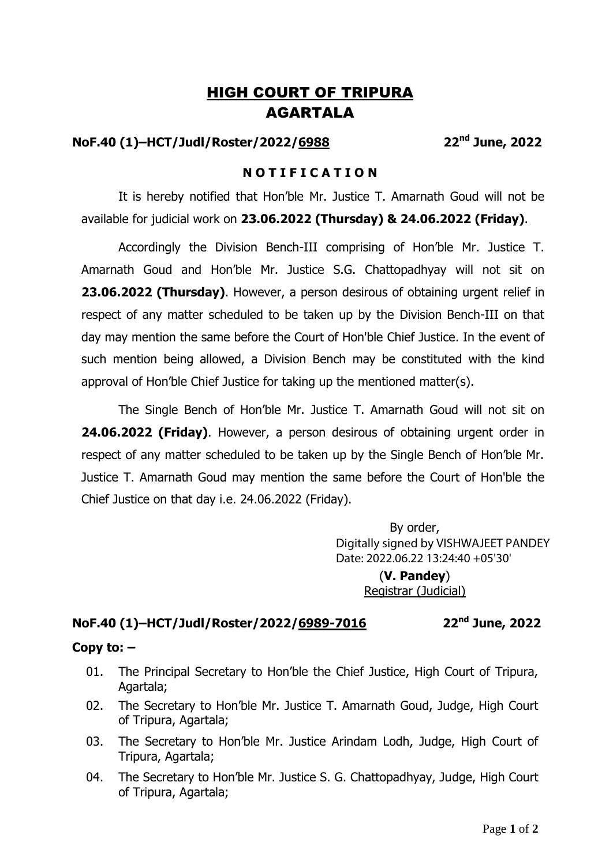# HIGH COURT OF TRIPURA AGARTALA

## **NoF.40 (1)–HCT/Judl/Roster/2022/6988 22nd June, 2022**

### **N O T I F I C A T I O N**

It is hereby notified that Hon'ble Mr. Justice T. Amarnath Goud will not be available for judicial work on **23.06.2022 (Thursday) & 24.06.2022 (Friday)**.

Accordingly the Division Bench-III comprising of Hon'ble Mr. Justice T. Amarnath Goud and Hon'ble Mr. Justice S.G. Chattopadhyay will not sit on **23.06.2022 (Thursday)**. However, a person desirous of obtaining urgent relief in respect of any matter scheduled to be taken up by the Division Bench-III on that day may mention the same before the Court of Hon'ble Chief Justice. In the event of such mention being allowed, a Division Bench may be constituted with the kind approval of Hon'ble Chief Justice for taking up the mentioned matter(s).

The Single Bench of Hon'ble Mr. Justice T. Amarnath Goud will not sit on **24.06.2022 (Friday)**. However, a person desirous of obtaining urgent order in respect of any matter scheduled to be taken up by the Single Bench of Hon'ble Mr. Justice T. Amarnath Goud may mention the same before the Court of Hon'ble the Chief Justice on that day i.e. 24.06.2022 (Friday).

> By order, Digitally signed by VISHWAJEET PANDEY Date: 2022.06.22 13:24:40 +05'30'

> > (**V. Pandey**) Registrar (Judicial)

#### **NoF.40 (1)–HCT/Judl/Roster/2022/6989-7016 22**

**nd June, 2022**

#### **Copy to: –**

- 01. The Principal Secretary to Hon'ble the Chief Justice, High Court of Tripura, Agartala;
- 02. The Secretary to Hon'ble Mr. Justice T. Amarnath Goud, Judge, High Court of Tripura, Agartala;
- 03. The Secretary to Hon'ble Mr. Justice Arindam Lodh, Judge, High Court of Tripura, Agartala;
- 04. The Secretary to Hon'ble Mr. Justice S. G. Chattopadhyay, Judge, High Court of Tripura, Agartala;